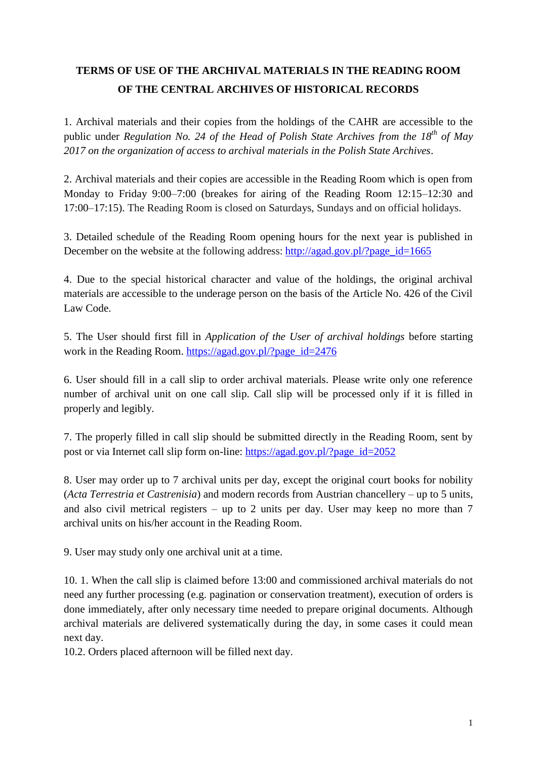## **TERMS OF USE OF THE ARCHIVAL MATERIALS IN THE READING ROOM OF THE CENTRAL ARCHIVES OF HISTORICAL RECORDS**

1. Archival materials and their copies from the holdings of the CAHR are accessible to the public under *Regulation No. 24 of the Head of Polish State Archives from the 18th of May 2017 on the organization of access to archival materials in the Polish State Archives*.

2. Archival materials and their copies are accessible in the Reading Room which is open from Monday to Friday 9:00–7:00 (breakes for airing of the Reading Room 12:15–12:30 and 17:00–17:15). The Reading Room is closed on Saturdays, Sundays and on official holidays.

3. Detailed schedule of the Reading Room opening hours for the next year is published in December on the website at the following address: [http://agad.gov.pl/?page\\_id=1665](http://agad.gov.pl/?page_id=1665)

4. Due to the special historical character and value of the holdings, the original archival materials are accessible to the underage person on the basis of the Article No. 426 of the Civil Law Code.

5. The User should first fill in *Application of the User of archival holdings* before starting work in the Reading Room. [https://agad.gov.pl/?page\\_id=2476](https://agad.gov.pl/?page_id=2476)

6. User should fill in a call slip to order archival materials. Please write only one reference number of archival unit on one call slip. Call slip will be processed only if it is filled in properly and legibly.

7. The properly filled in call slip should be submitted directly in the Reading Room, sent by post or via Internet call slip form on-line: [https://agad.gov.pl/?page\\_id=2052](https://agad.gov.pl/?page_id=2052)

8. User may order up to 7 archival units per day, except the original court books for nobility (*Acta Terrestria et Castrenisia*) and modern records from Austrian chancellery – up to 5 units, and also civil metrical registers – up to 2 units per day. User may keep no more than 7 archival units on his/her account in the Reading Room.

9. User may study only one archival unit at a time.

10. 1. When the call slip is claimed before 13:00 and commissioned archival materials do not need any further processing (e.g. pagination or conservation treatment), execution of orders is done immediately, after only necessary time needed to prepare original documents. Although archival materials are delivered systematically during the day, in some cases it could mean next day.

10.2. Orders placed afternoon will be filled next day.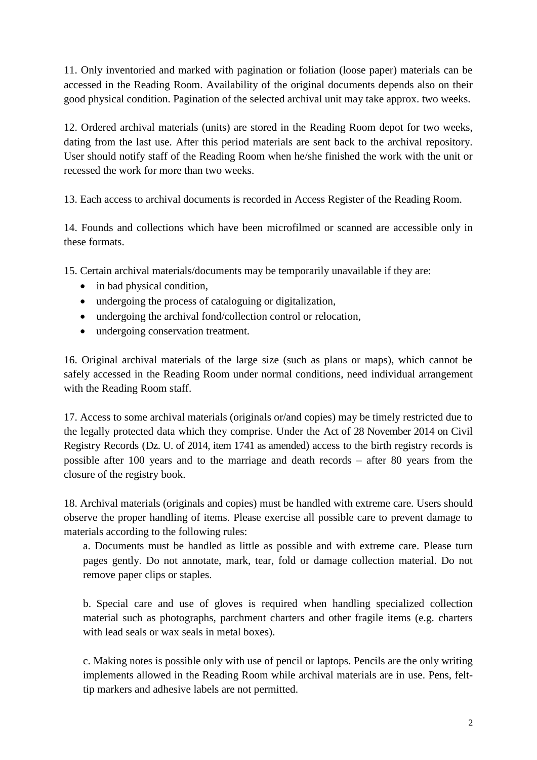11. Only inventoried and marked with pagination or foliation (loose paper) materials can be accessed in the Reading Room. Availability of the original documents depends also on their good physical condition. Pagination of the selected archival unit may take approx. two weeks.

12. Ordered archival materials (units) are stored in the Reading Room depot for two weeks, dating from the last use. After this period materials are sent back to the archival repository. User should notify staff of the Reading Room when he/she finished the work with the unit or recessed the work for more than two weeks.

13. Each access to archival documents is recorded in Access Register of the Reading Room.

14. Founds and collections which have been microfilmed or scanned are accessible only in these formats.

15. Certain archival materials/documents may be temporarily unavailable if they are:

- in bad physical condition,
- undergoing the process of cataloguing or digitalization,
- undergoing the archival fond/collection control or relocation.
- undergoing conservation treatment.

16. Original archival materials of the large size (such as plans or maps), which cannot be safely accessed in the Reading Room under normal conditions, need individual arrangement with the Reading Room staff.

17. Access to some archival materials (originals or/and copies) may be timely restricted due to the legally protected data which they comprise. Under the Act of 28 November 2014 on Civil Registry Records (Dz. U. of 2014, item 1741 as amended) access to the birth registry records is possible after 100 years and to the marriage and death records – after 80 years from the closure of the registry book.

18. Archival materials (originals and copies) must be handled with extreme care. Users should observe the proper handling of items. Please exercise all possible care to prevent damage to materials according to the following rules:

a. Documents must be handled as little as possible and with extreme care. Please turn pages gently. Do not annotate, mark, tear, fold or damage collection material. Do not remove paper clips or staples.

b. Special care and use of gloves is required when handling specialized collection material such as photographs, parchment charters and other fragile items (e.g. charters with lead seals or wax seals in metal boxes).

c. Making notes is possible only with use of pencil or laptops. Pencils are the only writing implements allowed in the Reading Room while archival materials are in use. Pens, felttip markers and adhesive labels are not permitted.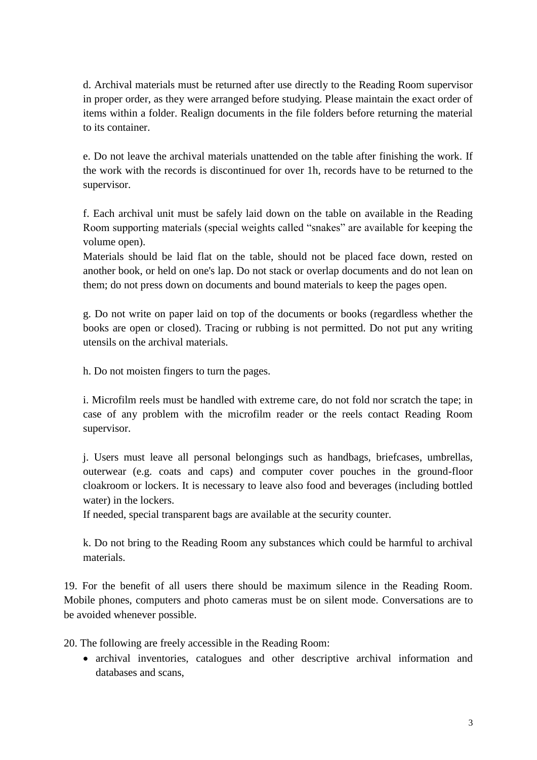d. Archival materials must be returned after use directly to the Reading Room supervisor in proper order, as they were arranged before studying. Please maintain the exact order of items within a folder. Realign documents in the file folders before returning the material to its container.

e. Do not leave the archival materials unattended on the table after finishing the work. If the work with the records is discontinued for over 1h, records have to be returned to the supervisor.

f. Each archival unit must be safely laid down on the table on available in the Reading Room supporting materials (special weights called "snakes" are available for keeping the volume open).

Materials should be laid flat on the table, should not be placed face down, rested on another book, or held on one's lap. Do not stack or overlap documents and do not lean on them; do not press down on documents and bound materials to keep the pages open.

g. Do not write on paper laid on top of the documents or books (regardless whether the books are open or closed). Tracing or rubbing is not permitted. Do not put any writing utensils on the archival materials.

h. Do not moisten fingers to turn the pages.

i. Microfilm reels must be handled with extreme care, do not fold nor scratch the tape; in case of any problem with the microfilm reader or the reels contact Reading Room supervisor.

j. Users must leave all personal belongings such as handbags, briefcases, umbrellas, outerwear (e.g. coats and caps) and computer cover pouches in the ground-floor cloakroom or lockers. It is necessary to leave also food and beverages (including bottled water) in the lockers.

If needed, special transparent bags are available at the security counter.

k. Do not bring to the Reading Room any substances which could be harmful to archival materials.

19. For the benefit of all users there should be maximum silence in the Reading Room. Mobile phones, computers and photo cameras must be on silent mode. Conversations are to be avoided whenever possible.

20. The following are freely accessible in the Reading Room:

• archival inventories, catalogues and other descriptive archival information and databases and scans,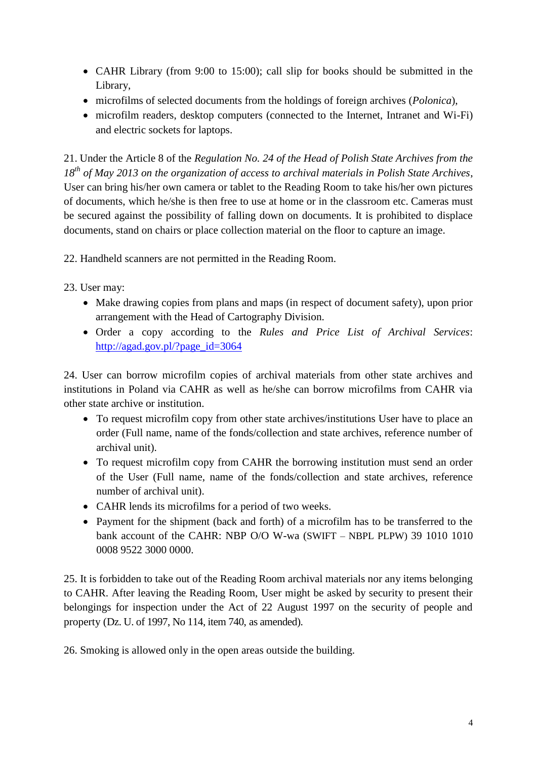- CAHR Library (from 9:00 to 15:00); call slip for books should be submitted in the Library,
- microfilms of selected documents from the holdings of foreign archives (*Polonica*),
- microfilm readers, desktop computers (connected to the Internet, Intranet and Wi-Fi) and electric sockets for laptops.

21. Under the Article 8 of the *Regulation No. 24 of the Head of Polish State Archives from the 18 th of May 2013 on the organization of access to archival materials in Polish State Archives*, User can bring his/her own camera or tablet to the Reading Room to take his/her own pictures of documents, which he/she is then free to use at home or in the classroom etc. Cameras must be secured against the possibility of falling down on documents. It is prohibited to displace documents, stand on chairs or place collection material on the floor to capture an image.

22. Handheld scanners are not permitted in the Reading Room.

23. User may:

- Make drawing copies from plans and maps (in respect of document safety), upon prior arrangement with the Head of Cartography Division.
- Order a copy according to the *Rules and Price List of Archival Services*: [http://agad.gov.pl/?page\\_id=3064](http://agad.gov.pl/?page_id=3064)

24. User can borrow microfilm copies of archival materials from other state archives and institutions in Poland via CAHR as well as he/she can borrow microfilms from CAHR via other state archive or institution.

- To request microfilm copy from other state archives/institutions User have to place an order (Full name, name of the fonds/collection and state archives, reference number of archival unit).
- To request microfilm copy from CAHR the borrowing institution must send an order of the User (Full name, name of the fonds/collection and state archives, reference number of archival unit).
- CAHR lends its microfilms for a period of two weeks.
- Payment for the shipment (back and forth) of a microfilm has to be transferred to the bank account of the CAHR: NBP O/O W-wa (SWIFT – NBPL PLPW) 39 1010 1010 0008 9522 3000 0000.

25. It is forbidden to take out of the Reading Room archival materials nor any items belonging to CAHR. After leaving the Reading Room, User might be asked by security to present their belongings for inspection under the Act of 22 August 1997 on the security of people and property (Dz. U. of 1997, No 114, item 740, as amended).

26. Smoking is allowed only in the open areas outside the building.